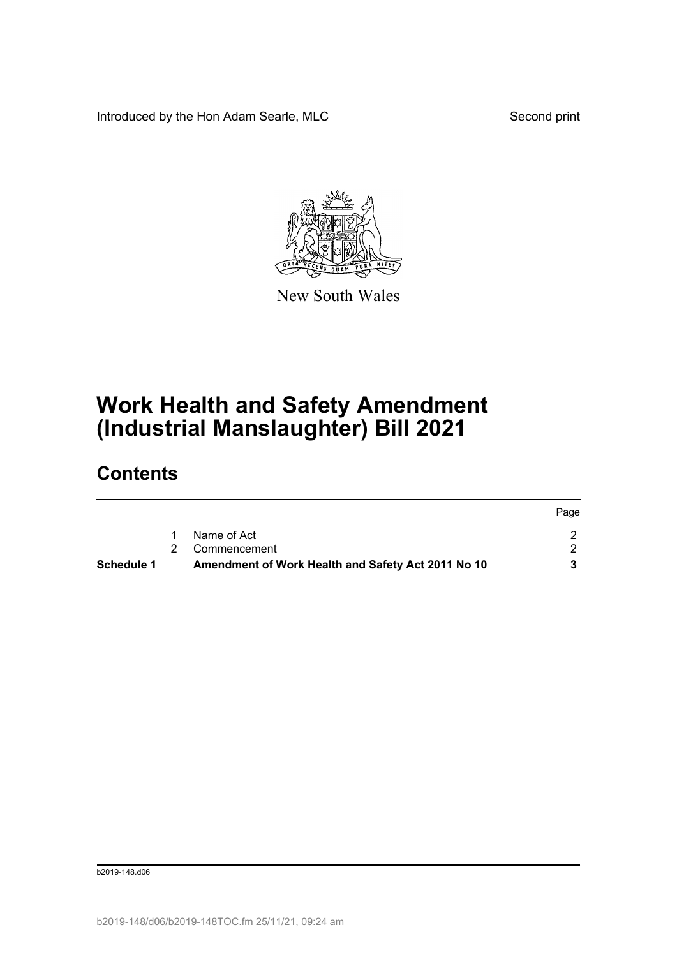Introduced by the Hon Adam Searle, MLC Second print



New South Wales

## **Work Health and Safety Amendment (Industrial Manslaughter) Bill 2021**

## **Contents**

| <b>Schedule 1</b> | Amendment of Work Health and Safety Act 2011 No 10 |      |
|-------------------|----------------------------------------------------|------|
|                   | 2 Commencement                                     |      |
|                   | Name of Act                                        |      |
|                   |                                                    | Page |

b2019-148.d06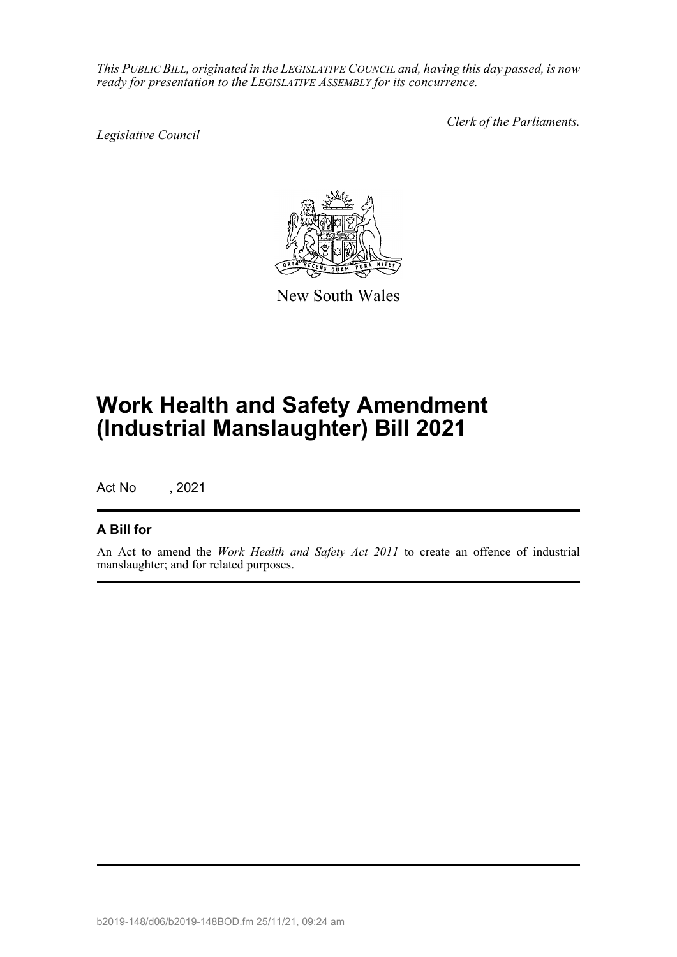*This PUBLIC BILL, originated in the LEGISLATIVE COUNCIL and, having this day passed, is now ready for presentation to the LEGISLATIVE ASSEMBLY for its concurrence.*

*Legislative Council*

*Clerk of the Parliaments.*



New South Wales

# **Work Health and Safety Amendment (Industrial Manslaughter) Bill 2021**

Act No , 2021

### **A Bill for**

An Act to amend the *Work Health and Safety Act 2011* to create an offence of industrial manslaughter; and for related purposes.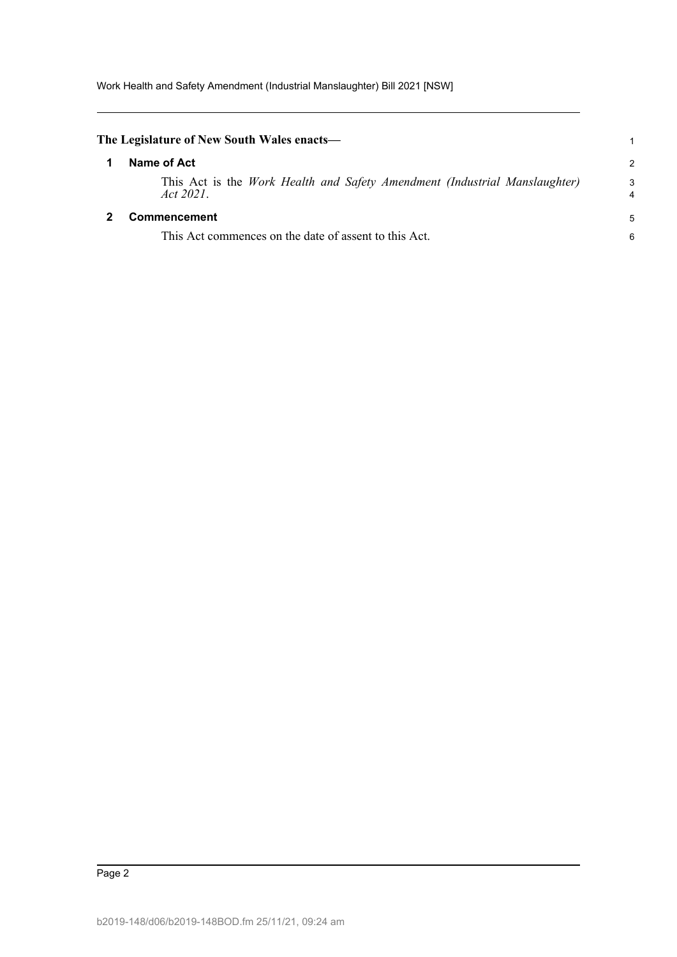<span id="page-2-1"></span><span id="page-2-0"></span>

| The Legislature of New South Wales enacts—                                              | 1             |
|-----------------------------------------------------------------------------------------|---------------|
| Name of Act                                                                             | $\mathcal{P}$ |
| This Act is the Work Health and Safety Amendment (Industrial Manslaughter)<br>Act 2021. | 3<br>4        |
| Commencement                                                                            | 5             |
| This Act commences on the date of assent to this Act.                                   | 6             |
|                                                                                         |               |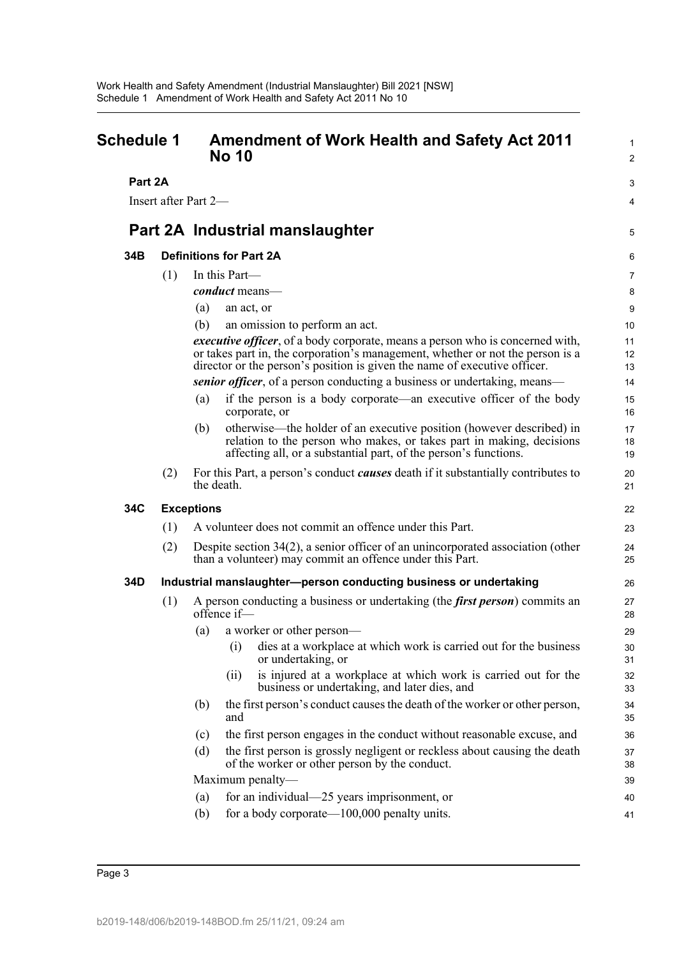<span id="page-3-0"></span>

| <b>Schedule 1</b> |     | <b>Amendment of Work Health and Safety Act 2011</b><br><b>No 10</b>                                                                                                                                                                                  | $\mathbf{1}$<br>$\overline{2}$ |
|-------------------|-----|------------------------------------------------------------------------------------------------------------------------------------------------------------------------------------------------------------------------------------------------------|--------------------------------|
| Part 2A           |     |                                                                                                                                                                                                                                                      | 3                              |
|                   |     | Insert after Part 2-                                                                                                                                                                                                                                 | 4                              |
|                   |     | Part 2A Industrial manslaughter                                                                                                                                                                                                                      | 5                              |
| 34B               |     | <b>Definitions for Part 2A</b>                                                                                                                                                                                                                       | 6                              |
|                   | (1) | In this Part-                                                                                                                                                                                                                                        | 7                              |
|                   |     | conduct means-                                                                                                                                                                                                                                       | 8                              |
|                   |     | (a)<br>an act, or                                                                                                                                                                                                                                    | 9                              |
|                   |     | (b)<br>an omission to perform an act.                                                                                                                                                                                                                | 10                             |
|                   |     | <i>executive officer</i> , of a body corporate, means a person who is concerned with,<br>or takes part in, the corporation's management, whether or not the person is a<br>director or the person's position is given the name of executive officer. | 11<br>12<br>13                 |
|                   |     | senior officer, of a person conducting a business or undertaking, means—                                                                                                                                                                             | 14                             |
|                   |     | if the person is a body corporate—an executive officer of the body<br>(a)<br>corporate, or                                                                                                                                                           | 15<br>16                       |
|                   |     | otherwise—the holder of an executive position (however described) in<br>(b)<br>relation to the person who makes, or takes part in making, decisions<br>affecting all, or a substantial part, of the person's functions.                              | 17<br>18<br>19                 |
|                   | (2) | For this Part, a person's conduct <i>causes</i> death if it substantially contributes to<br>the death.                                                                                                                                               | 20<br>21                       |
| 34C               |     | <b>Exceptions</b>                                                                                                                                                                                                                                    | 22                             |
|                   | (1) | A volunteer does not commit an offence under this Part.                                                                                                                                                                                              | 23                             |
|                   | (2) | Despite section 34(2), a senior officer of an unincorporated association (other<br>than a volunteer) may commit an offence under this Part.                                                                                                          | 24<br>25                       |
| 34D               |     | Industrial manslaughter-person conducting business or undertaking                                                                                                                                                                                    | 26                             |
|                   | (1) | A person conducting a business or undertaking (the <i>first person</i> ) commits an<br>offence $if$ —                                                                                                                                                | 27<br>28                       |
|                   |     | a worker or other person-<br>(a)                                                                                                                                                                                                                     | 29                             |
|                   |     | dies at a workplace at which work is carried out for the business<br>(i)<br>or undertaking, or                                                                                                                                                       | 30<br>31                       |
|                   |     | is injured at a workplace at which work is carried out for the<br>(i)<br>business or undertaking, and later dies, and                                                                                                                                | 32<br>33                       |
|                   |     | the first person's conduct causes the death of the worker or other person,<br>(b)<br>and                                                                                                                                                             | 34<br>35                       |
|                   |     | the first person engages in the conduct without reasonable excuse, and<br>(c)                                                                                                                                                                        | 36                             |
|                   |     | the first person is grossly negligent or reckless about causing the death<br>(d)<br>of the worker or other person by the conduct.                                                                                                                    | 37<br>38                       |
|                   |     | Maximum penalty-                                                                                                                                                                                                                                     | 39                             |
|                   |     | for an individual—25 years imprisonment, or<br>(a)                                                                                                                                                                                                   | 40                             |
|                   |     | for a body corporate— $100,000$ penalty units.<br>(b)                                                                                                                                                                                                | 41                             |